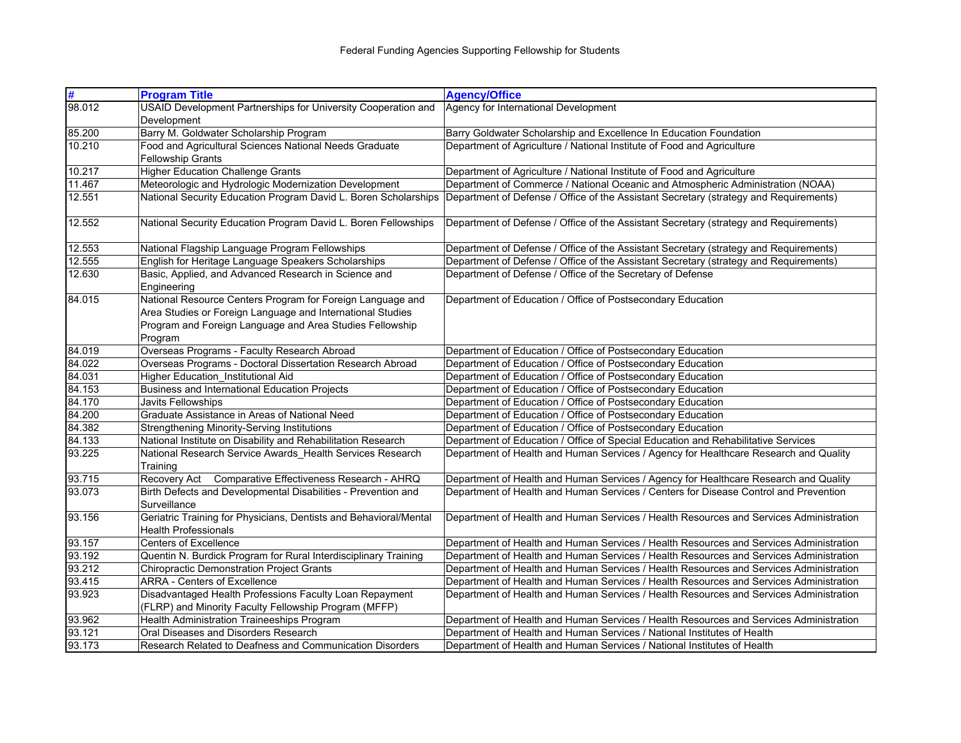| #      | <b>Program Title</b>                                                                                                                                                                            | <b>Agency/Office</b>                                                                   |
|--------|-------------------------------------------------------------------------------------------------------------------------------------------------------------------------------------------------|----------------------------------------------------------------------------------------|
| 98.012 | USAID Development Partnerships for University Cooperation and                                                                                                                                   | Agency for International Development                                                   |
|        | Development                                                                                                                                                                                     |                                                                                        |
| 85.200 | Barry M. Goldwater Scholarship Program                                                                                                                                                          | Barry Goldwater Scholarship and Excellence In Education Foundation                     |
| 10.210 | Food and Agricultural Sciences National Needs Graduate<br><b>Fellowship Grants</b>                                                                                                              | Department of Agriculture / National Institute of Food and Agriculture                 |
| 10.217 | <b>Higher Education Challenge Grants</b>                                                                                                                                                        | Department of Agriculture / National Institute of Food and Agriculture                 |
| 11.467 | Meteorologic and Hydrologic Modernization Development                                                                                                                                           | Department of Commerce / National Oceanic and Atmospheric Administration (NOAA)        |
| 12.551 | National Security Education Program David L. Boren Scholarships                                                                                                                                 | Department of Defense / Office of the Assistant Secretary (strategy and Requirements)  |
| 12.552 | National Security Education Program David L. Boren Fellowships                                                                                                                                  | Department of Defense / Office of the Assistant Secretary (strategy and Requirements)  |
| 12.553 | National Flagship Language Program Fellowships                                                                                                                                                  | Department of Defense / Office of the Assistant Secretary (strategy and Requirements)  |
| 12.555 | English for Heritage Language Speakers Scholarships                                                                                                                                             | Department of Defense / Office of the Assistant Secretary (strategy and Requirements)  |
| 12.630 | Basic, Applied, and Advanced Research in Science and<br>Engineering                                                                                                                             | Department of Defense / Office of the Secretary of Defense                             |
| 84.015 | National Resource Centers Program for Foreign Language and<br>Area Studies or Foreign Language and International Studies<br>Program and Foreign Language and Area Studies Fellowship<br>Program | Department of Education / Office of Postsecondary Education                            |
| 84.019 | Overseas Programs - Faculty Research Abroad                                                                                                                                                     | Department of Education / Office of Postsecondary Education                            |
| 84.022 | Overseas Programs - Doctoral Dissertation Research Abroad                                                                                                                                       | Department of Education / Office of Postsecondary Education                            |
| 84.031 | Higher Education_Institutional Aid                                                                                                                                                              | Department of Education / Office of Postsecondary Education                            |
| 84.153 | <b>Business and International Education Projects</b>                                                                                                                                            | Department of Education / Office of Postsecondary Education                            |
| 84.170 | Javits Fellowships                                                                                                                                                                              | Department of Education / Office of Postsecondary Education                            |
| 84.200 | Graduate Assistance in Areas of National Need                                                                                                                                                   | Department of Education / Office of Postsecondary Education                            |
| 84.382 | <b>Strengthening Minority-Serving Institutions</b>                                                                                                                                              | Department of Education / Office of Postsecondary Education                            |
| 84.133 | National Institute on Disability and Rehabilitation Research                                                                                                                                    | Department of Education / Office of Special Education and Rehabilitative Services      |
| 93.225 | National Research Service Awards_Health Services Research<br>Training                                                                                                                           | Department of Health and Human Services / Agency for Healthcare Research and Quality   |
| 93.715 | Recovery Act Comparative Effectiveness Research - AHRQ                                                                                                                                          | Department of Health and Human Services / Agency for Healthcare Research and Quality   |
| 93.073 | Birth Defects and Developmental Disabilities - Prevention and<br>Surveillance                                                                                                                   | Department of Health and Human Services / Centers for Disease Control and Prevention   |
| 93.156 | Geriatric Training for Physicians, Dentists and Behavioral/Mental<br><b>Health Professionals</b>                                                                                                | Department of Health and Human Services / Health Resources and Services Administration |
| 93.157 | <b>Centers of Excellence</b>                                                                                                                                                                    | Department of Health and Human Services / Health Resources and Services Administration |
| 93.192 | Quentin N. Burdick Program for Rural Interdisciplinary Training                                                                                                                                 | Department of Health and Human Services / Health Resources and Services Administration |
| 93.212 | Chiropractic Demonstration Project Grants                                                                                                                                                       | Department of Health and Human Services / Health Resources and Services Administration |
| 93.415 | <b>ARRA - Centers of Excellence</b>                                                                                                                                                             | Department of Health and Human Services / Health Resources and Services Administration |
| 93.923 | Disadvantaged Health Professions Faculty Loan Repayment                                                                                                                                         | Department of Health and Human Services / Health Resources and Services Administration |
|        | (FLRP) and Minority Faculty Fellowship Program (MFFP)                                                                                                                                           |                                                                                        |
| 93.962 | <b>Health Administration Traineeships Program</b>                                                                                                                                               | Department of Health and Human Services / Health Resources and Services Administration |
| 93.121 | Oral Diseases and Disorders Research                                                                                                                                                            | Department of Health and Human Services / National Institutes of Health                |
| 93.173 | Research Related to Deafness and Communication Disorders                                                                                                                                        | Department of Health and Human Services / National Institutes of Health                |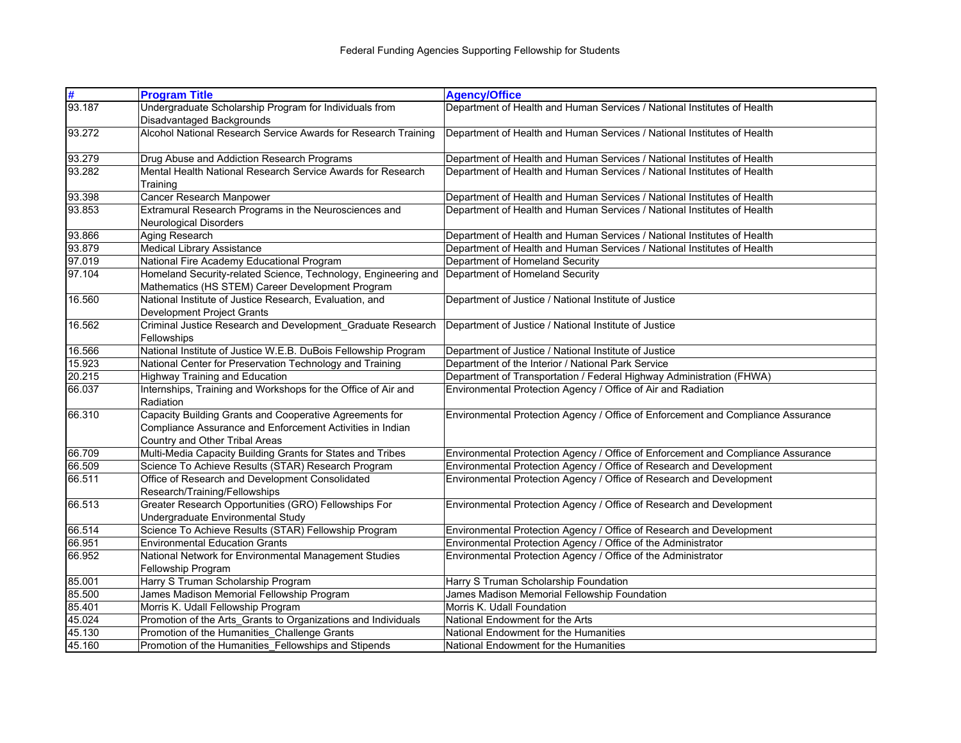| #      | <b>Program Title</b>                                                            | <b>Agency/Office</b>                                                             |
|--------|---------------------------------------------------------------------------------|----------------------------------------------------------------------------------|
| 93.187 | Undergraduate Scholarship Program for Individuals from                          | Department of Health and Human Services / National Institutes of Health          |
|        | Disadvantaged Backgrounds                                                       |                                                                                  |
| 93.272 | Alcohol National Research Service Awards for Research Training                  | Department of Health and Human Services / National Institutes of Health          |
| 93.279 | Drug Abuse and Addiction Research Programs                                      | Department of Health and Human Services / National Institutes of Health          |
| 93.282 | Mental Health National Research Service Awards for Research                     | Department of Health and Human Services / National Institutes of Health          |
|        | Training                                                                        |                                                                                  |
| 93.398 | Cancer Research Manpower                                                        | Department of Health and Human Services / National Institutes of Health          |
| 93.853 | Extramural Research Programs in the Neurosciences and<br>Neurological Disorders | Department of Health and Human Services / National Institutes of Health          |
| 93.866 | Aging Research                                                                  | Department of Health and Human Services / National Institutes of Health          |
| 93.879 | <b>Medical Library Assistance</b>                                               | Department of Health and Human Services / National Institutes of Health          |
| 97.019 | National Fire Academy Educational Program                                       | Department of Homeland Security                                                  |
| 97.104 | Homeland Security-related Science, Technology, Engineering and                  | Department of Homeland Security                                                  |
|        | Mathematics (HS STEM) Career Development Program                                |                                                                                  |
| 16.560 | National Institute of Justice Research, Evaluation, and                         | Department of Justice / National Institute of Justice                            |
|        | Development Project Grants                                                      |                                                                                  |
| 16.562 | Criminal Justice Research and Development Graduate Research                     | Department of Justice / National Institute of Justice                            |
|        | Fellowships                                                                     |                                                                                  |
| 16.566 | National Institute of Justice W.E.B. DuBois Fellowship Program                  | Department of Justice / National Institute of Justice                            |
| 15.923 | National Center for Preservation Technology and Training                        | Department of the Interior / National Park Service                               |
| 20.215 | <b>Highway Training and Education</b>                                           | Department of Transportation / Federal Highway Administration (FHWA)             |
| 66.037 | Internships, Training and Workshops for the Office of Air and                   | Environmental Protection Agency / Office of Air and Radiation                    |
|        | Radiation                                                                       |                                                                                  |
| 66.310 | Capacity Building Grants and Cooperative Agreements for                         | Environmental Protection Agency / Office of Enforcement and Compliance Assurance |
|        | Compliance Assurance and Enforcement Activities in Indian                       |                                                                                  |
|        | Country and Other Tribal Areas                                                  |                                                                                  |
| 66.709 | Multi-Media Capacity Building Grants for States and Tribes                      | Environmental Protection Agency / Office of Enforcement and Compliance Assurance |
| 66.509 | Science To Achieve Results (STAR) Research Program                              | Environmental Protection Agency / Office of Research and Development             |
| 66.511 | Office of Research and Development Consolidated                                 | Environmental Protection Agency / Office of Research and Development             |
|        | Research/Training/Fellowships                                                   |                                                                                  |
| 66.513 | Greater Research Opportunities (GRO) Fellowships For                            | Environmental Protection Agency / Office of Research and Development             |
|        | Undergraduate Environmental Study                                               |                                                                                  |
| 66.514 | Science To Achieve Results (STAR) Fellowship Program                            | Environmental Protection Agency / Office of Research and Development             |
| 66.951 | <b>Environmental Education Grants</b>                                           | Environmental Protection Agency / Office of the Administrator                    |
| 66.952 | National Network for Environmental Management Studies                           | Environmental Protection Agency / Office of the Administrator                    |
|        | Fellowship Program                                                              |                                                                                  |
| 85.001 | Harry S Truman Scholarship Program                                              | Harry S Truman Scholarship Foundation                                            |
| 85.500 | James Madison Memorial Fellowship Program                                       | James Madison Memorial Fellowship Foundation                                     |
| 85.401 | Morris K. Udall Fellowship Program                                              | Morris K. Udall Foundation                                                       |
| 45.024 | Promotion of the Arts_Grants to Organizations and Individuals                   | National Endowment for the Arts                                                  |
| 45.130 | Promotion of the Humanities_Challenge Grants                                    | National Endowment for the Humanities                                            |
| 45.160 | Promotion of the Humanities_Fellowships and Stipends                            | National Endowment for the Humanities                                            |